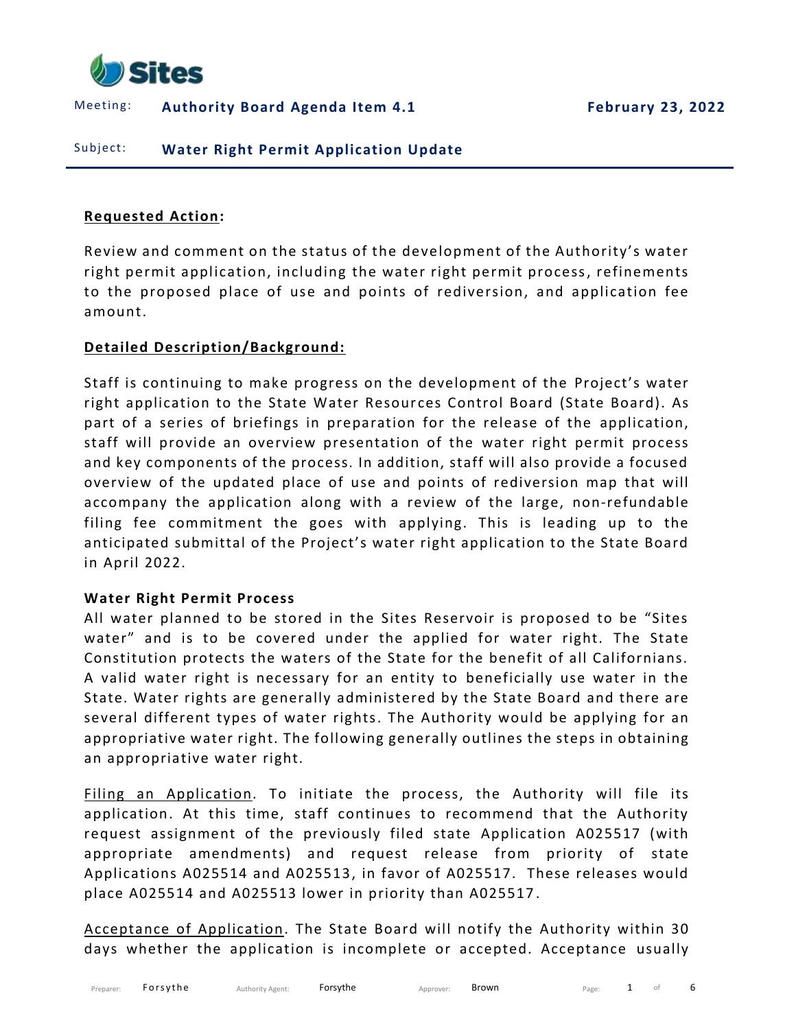

Meeting: **Authority Board Agenda Item 4.1 February 23, 2022**

Subject: **Water Right Permit Application Update** 

#### **Requested Action:**

Review and comment on the status of the development of the Authority's water right permit application, including the water right permit process, refinements to the proposed place of use and points of rediversion, and application fee amount.

## **Detailed Description/Background:**

Staff is continuing to make progress on the development of the Project's water right application to the State Water Resources Control Board (State Board). As part of a series of briefings in preparation for the release of the application, staff will provide an overview presentation of the water right permit process and key components of the process. In addition, staff will also provide a focused overview of the updated place of use and points of rediversion map that will accompany the application along with a review of the large, non-refundable filing fee commitment the goes with applying. This is leading up to the anticipated submittal of the Project's water right application to the State Board in April 2022.

### **Water Right Permit Process**

All water planned to be stored in the Sites Reservoir is proposed to be "Sites water" and is to be covered under the applied for water right. The State Constitution protects the waters of the State for the benefit of all Californians. A valid water right is necessary for an entity to beneficially use water in the State. Water rights are generally administered by the State Board and there are several different types of water rights. The Authority would be applying for an appropriative water right. The following generally outlines the steps in obtaining an appropriative water right.

Filing an Application. To initiate the process, the Authority will file its application. At this time, staff continues to recommend that the Authority request assignment of the previously filed state Application A025517 (with appropriate amendments) and request release from priority of state Applications A025514 and A025513, in favor of A025517. These releases would place A025514 and A025513 lower in priority than A025517 .

Acceptance of Application. The State Board will notify the Authority within 30 days whether the application is incomplete or accepted. Acceptance usually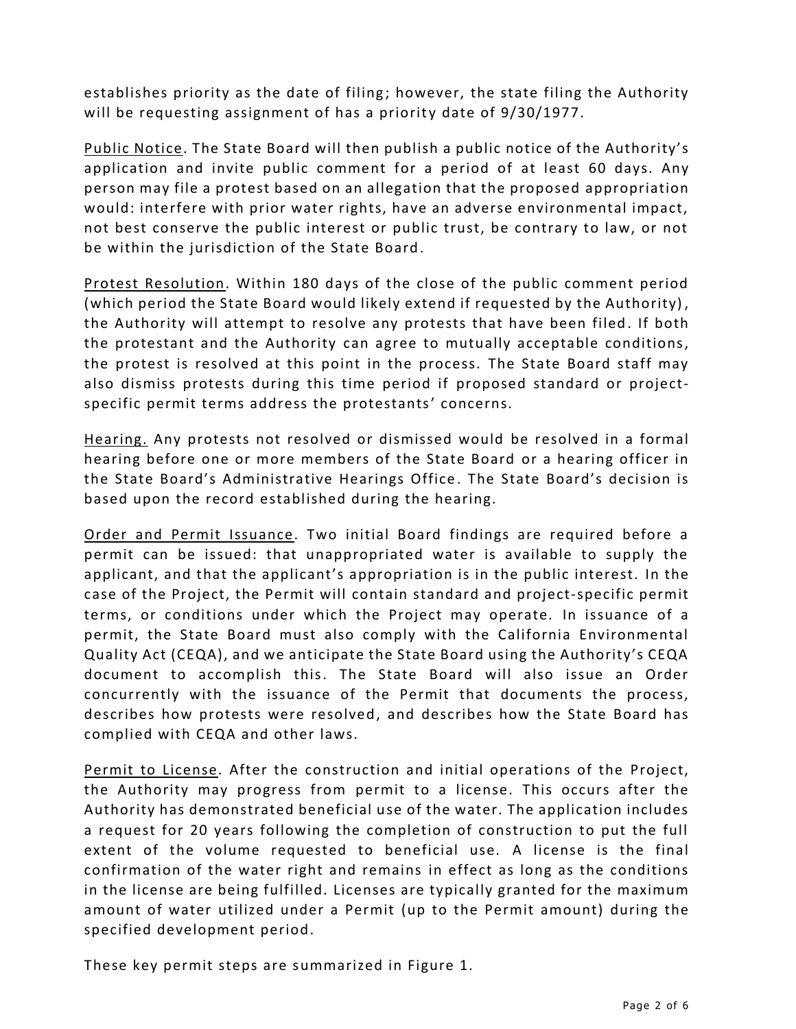establishes priority as the date of filing; however, the state filing the Authority will be requesting assignment of has a priority date of  $9/30/1977$ .

Public Notice. The State Board will then publish a public notice of the Authority's application and invite public comment for a period of at least 60 days. Any person may file a protest based on an allegation that the proposed appropriation would: interfere with prior water rights, have an adverse environmental impact, not best conserve the public interest or public trust, be contrary to law, or not be within the jurisdiction of the State Board.

Protest Resolution. Within 180 days of the close of the public comment period (which period the State Board would likely extend if requested by the Authority) , the Authority will attempt to resolve any protests that have been filed. If both the protestant and the Authority can agree to mutually acceptable conditions, the protest is resolved at this point in the process. The State Board staff may also dismiss protests during this time period if proposed standard or projectspecific permit terms address the protestants' concerns.

Hearing. Any protests not resolved or dismissed would be resolved in a formal hearing before one or more members of the State Board or a hearing officer in the State Board's Administrative Hearings Office . The State Board's decision is based upon the record established during the hearing.

Order and Permit Issuance. Two initial Board findings are required before a permit can be issued: that unappropriated water is available to supply the applicant, and that the applicant's appropriation is in the public interest. In the case of the Project, the Permit will contain standard and project-specific permit terms, or conditions under which the Project may operate. In issuance of a permit, the State Board must also comply with the California Environmental Quality Act (CEQA), and we anticipate the State Board using the Authority's CEQA document to accomplish this. The State Board will also issue an Order concurrently with the issuance of the Permit that documents the process, describes how protests were resolved, and describes how the State Board has complied with CEQA and other laws.

Permit to License. After the construction and initial operations of the Project, the Authority may progress from permit to a license. This occurs after the Authority has demonstrated beneficial use of the water. The application includes a request for 20 years following the completion of construction to put the full extent of the volume requested to beneficial use. A license is the final confirmation of the water right and remains in effect as long as the conditions in the license are being fulfilled. Licenses are typically granted for the maximum amount of water utilized under a Permit (up to the Permit amount) during the specified development period.

These key permit steps are summarized in Figure 1.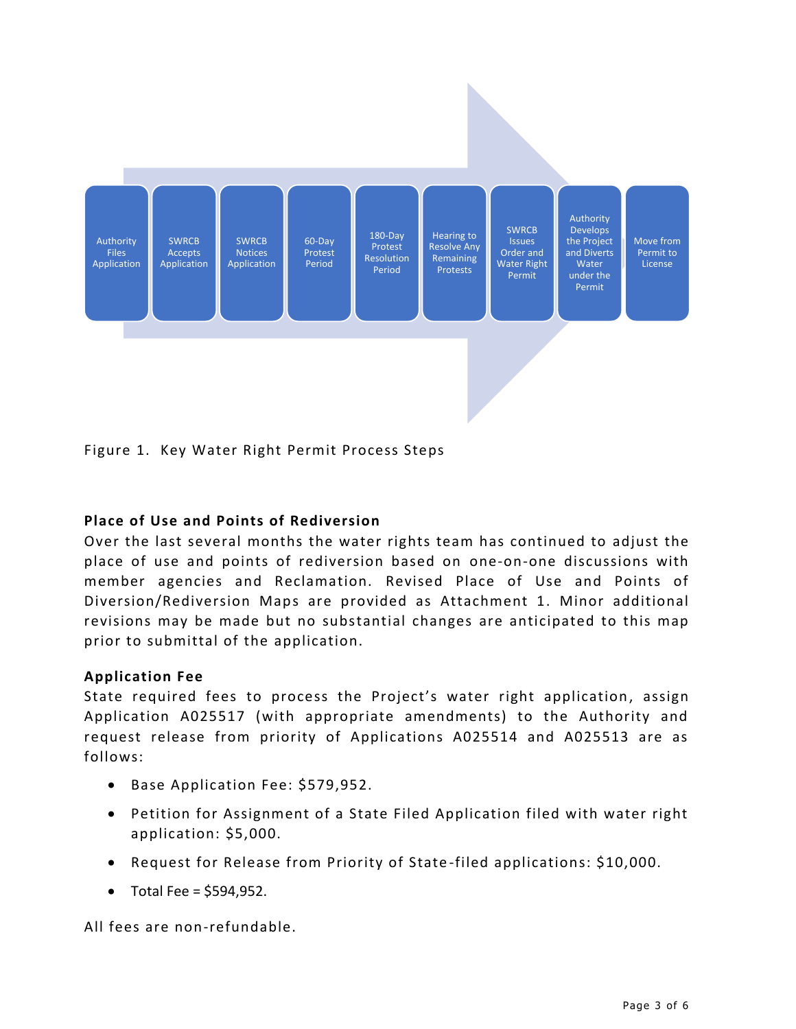

Figure 1. Key Water Right Permit Process Steps

# **Place of Use and Points of Rediversion**

Over the last several months the water rights team has continued to adjust the place of use and points of rediversion based on one-on-one discussions with member agencies and Reclamation. Revised Place of Use and Points of Diversion/Rediversion Maps are provided as Attachment 1. Minor additional revisions may be made but no substantial changes are anticipated to this map prior to submittal of the application.

## **Application Fee**

State required fees to process the Project's water right application, assign Application A025517 (with appropriate amendments) to the Authority and request release from priority of Applications A025514 and A025513 are as follows:

- Base Application Fee: \$579,952.
- Petition for Assignment of a State Filed Application filed with water right application: \$5,000.
- Request for Release from Priority of State -filed applications: \$10,000.
- Total Fee =  $$594,952$ .

All fees are non-refundable.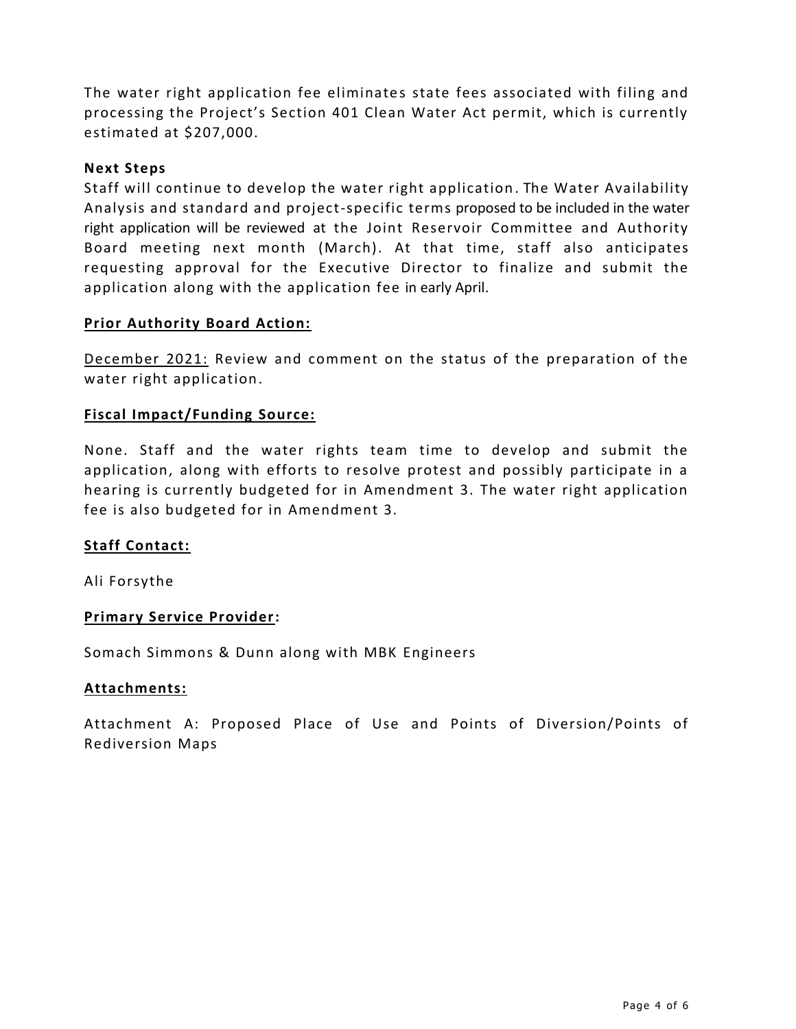The water right application fee eliminates state fees associated with filing and processing the Project's Section 401 Clean Water Act permit, which is currently estimated at \$207,000.

## **Next Steps**

Staff will continue to develop the water right application . The Water Availability Analysis and standard and project-specific terms proposed to be included in the water right application will be reviewed at the Joint Reservoir Committee and Authority Board meeting next month (March). At that time, staff also anticipates requesting approval for the Executive Director to finalize and submit the application along with the application fee in early April.

## **Prior Authority Board Action:**

December 2021: Review and comment on the status of the preparation of the water right application.

## **Fiscal Impact/Funding Source:**

None. Staff and the water rights team time to develop and submit the application, along with efforts to resolve protest and possibly participate in a hearing is currently budgeted for in Amendment 3. The water right application fee is also budgeted for in Amendment 3.

## **Staff Contact:**

Ali Forsythe

### **Primary Service Provider:**

Somach Simmons & Dunn along with MBK Engineers

### **Attachments:**

Attachment A: Proposed Place of Use and Points of Diversion/Points of Rediversion Maps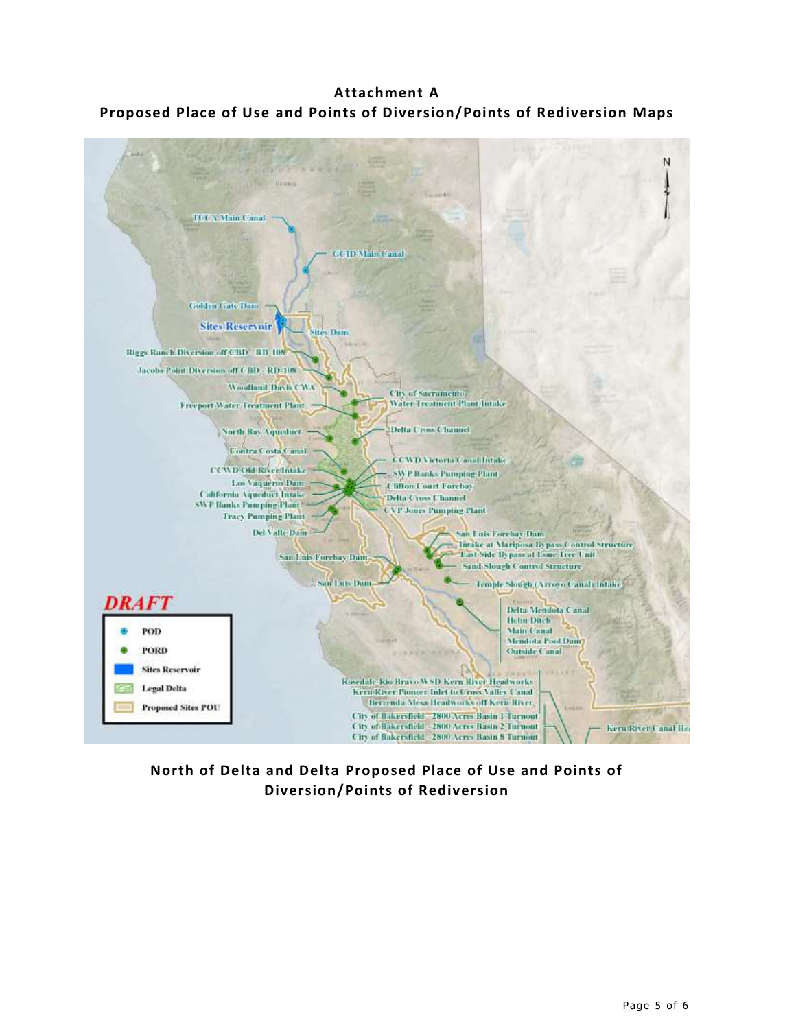**Attachment A Proposed Place of Use and Points of Diversion/Points of Rediversion Maps**



**North of Delta and Delta Proposed Place of Use and Points of Diversion/Points of Rediversion**